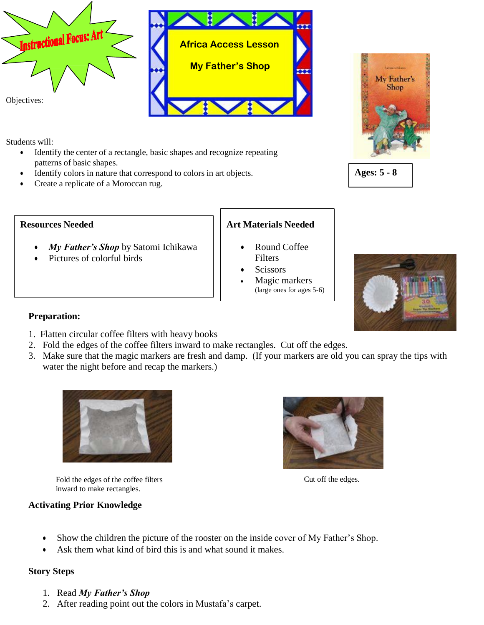



Students will:

- Identify the center of a rectangle, basic shapes and recognize repeating patterns of basic shapes.
- Identify colors in nature that correspond to colors in art objects.
- Create a replicate of a Moroccan rug.

### **Resources Needed**

- *My Father's Shop* by Satomi Ichikawa
- Pictures of colorful birds

# **Art Materials Needed**

- Round Coffee **Filters**
- **Scissors**
- Magic markers (large ones for ages 5-6)







### **Preparation:**

- 1. Flatten circular coffee filters with heavy books
- 2. Fold the edges of the coffee filters inward to make rectangles. Cut off the edges.
- 3. Make sure that the magic markers are fresh and damp. (If your markers are old you can spray the tips with water the night before and recap the markers.)



Fold the edges of the coffee filters inward to make rectangles.

Cut off the edges.

## **Activating Prior Knowledge**

- Show the children the picture of the rooster on the inside cover of My Father's Shop.
- Ask them what kind of bird this is and what sound it makes.

## **Story Steps**

- 1. Read *My Father's Shop*
- 2. After reading point out the colors in Mustafa's carpet.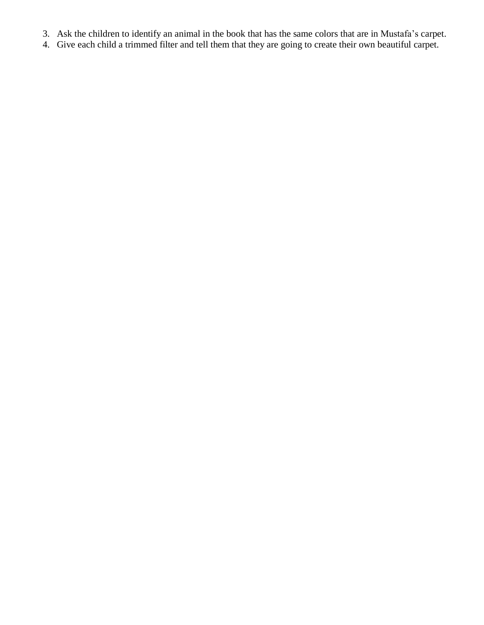- 3. Ask the children to identify an animal in the book that has the same colors that are in Mustafa's carpet.
- 4. Give each child a trimmed filter and tell them that they are going to create their own beautiful carpet.